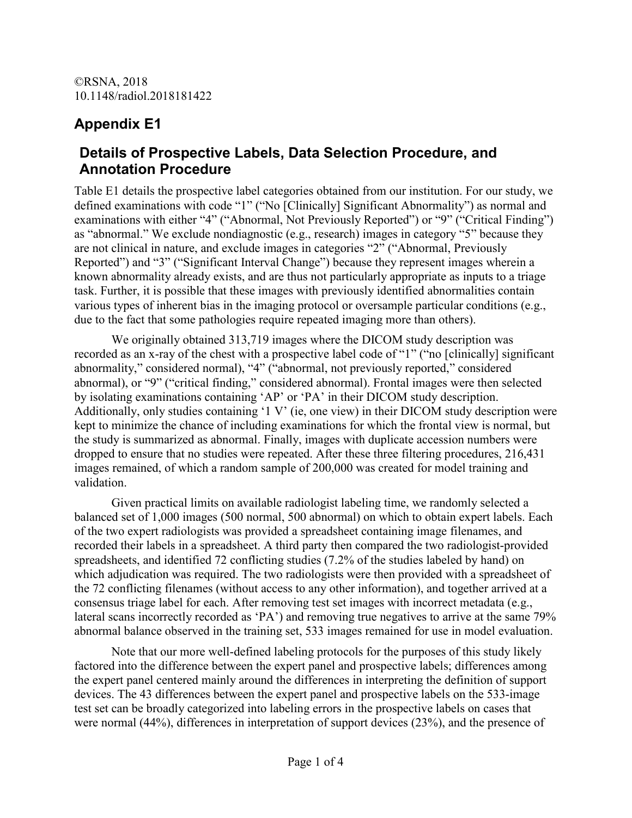## **Appendix E1**

### **Details of Prospective Labels, Data Selection Procedure, and Annotation Procedure**

Table E1 details the prospective label categories obtained from our institution. For our study, we defined examinations with code "1" ("No [Clinically] Significant Abnormality") as normal and examinations with either "4" ("Abnormal, Not Previously Reported") or "9" ("Critical Finding") as "abnormal." We exclude nondiagnostic (e.g., research) images in category "5" because they are not clinical in nature, and exclude images in categories "2" ("Abnormal, Previously Reported") and "3" ("Significant Interval Change") because they represent images wherein a known abnormality already exists, and are thus not particularly appropriate as inputs to a triage task. Further, it is possible that these images with previously identified abnormalities contain various types of inherent bias in the imaging protocol or oversample particular conditions (e.g., due to the fact that some pathologies require repeated imaging more than others).

We originally obtained 313,719 images where the DICOM study description was recorded as an x-ray of the chest with a prospective label code of "1" ("no [clinically] significant abnormality," considered normal), "4" ("abnormal, not previously reported," considered abnormal), or "9" ("critical finding," considered abnormal). Frontal images were then selected by isolating examinations containing 'AP' or 'PA' in their DICOM study description. Additionally, only studies containing '1 V' (ie, one view) in their DICOM study description were kept to minimize the chance of including examinations for which the frontal view is normal, but the study is summarized as abnormal. Finally, images with duplicate accession numbers were dropped to ensure that no studies were repeated. After these three filtering procedures, 216,431 images remained, of which a random sample of 200,000 was created for model training and validation.

Given practical limits on available radiologist labeling time, we randomly selected a balanced set of 1,000 images (500 normal, 500 abnormal) on which to obtain expert labels. Each of the two expert radiologists was provided a spreadsheet containing image filenames, and recorded their labels in a spreadsheet. A third party then compared the two radiologist-provided spreadsheets, and identified 72 conflicting studies (7.2% of the studies labeled by hand) on which adjudication was required. The two radiologists were then provided with a spreadsheet of the 72 conflicting filenames (without access to any other information), and together arrived at a consensus triage label for each. After removing test set images with incorrect metadata (e.g., lateral scans incorrectly recorded as 'PA') and removing true negatives to arrive at the same 79% abnormal balance observed in the training set, 533 images remained for use in model evaluation.

Note that our more well-defined labeling protocols for the purposes of this study likely factored into the difference between the expert panel and prospective labels; differences among the expert panel centered mainly around the differences in interpreting the definition of support devices. The 43 differences between the expert panel and prospective labels on the 533-image test set can be broadly categorized into labeling errors in the prospective labels on cases that were normal (44%), differences in interpretation of support devices (23%), and the presence of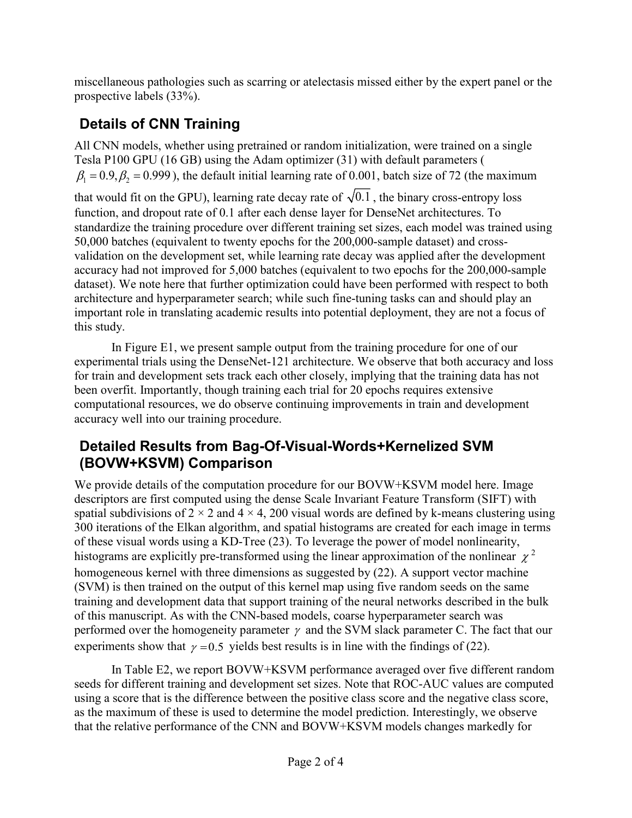miscellaneous pathologies such as scarring or atelectasis missed either by the expert panel or the prospective labels (33%).

# **Details of CNN Training**

All CNN models, whether using pretrained or random initialization, were trained on a single Tesla P100 GPU (16 GB) using the Adam optimizer (31) with default parameters (  $\beta_1 = 0.9$ ,  $\beta_2 = 0.999$ ), the default initial learning rate of 0.001, batch size of 72 (the maximum that would fit on the GPU), learning rate decay rate of  $\sqrt{0.1}$ , the binary cross-entropy loss function, and dropout rate of 0.1 after each dense layer for DenseNet architectures. To standardize the training procedure over different training set sizes, each model was trained using 50,000 batches (equivalent to twenty epochs for the 200,000-sample dataset) and crossvalidation on the development set, while learning rate decay was applied after the development accuracy had not improved for 5,000 batches (equivalent to two epochs for the 200,000-sample dataset). We note here that further optimization could have been performed with respect to both architecture and hyperparameter search; while such fine-tuning tasks can and should play an important role in translating academic results into potential deployment, they are not a focus of this study.

In Figure E1, we present sample output from the training procedure for one of our experimental trials using the DenseNet-121 architecture. We observe that both accuracy and loss for train and development sets track each other closely, implying that the training data has not been overfit. Importantly, though training each trial for 20 epochs requires extensive computational resources, we do observe continuing improvements in train and development accuracy well into our training procedure.

## **Detailed Results from Bag-Of-Visual-Words+Kernelized SVM (BOVW+KSVM) Comparison**

We provide details of the computation procedure for our BOVW+KSVM model here. Image descriptors are first computed using the dense Scale Invariant Feature Transform (SIFT) with spatial subdivisions of  $2 \times 2$  and  $4 \times 4$ , 200 visual words are defined by k-means clustering using 300 iterations of the Elkan algorithm, and spatial histograms are created for each image in terms of these visual words using a KD-Tree (23). To leverage the power of model nonlinearity, histograms are explicitly pre-transformed using the linear approximation of the nonlinear  $\chi^2$ homogeneous kernel with three dimensions as suggested by (22). A support vector machine (SVM) is then trained on the output of this kernel map using five random seeds on the same training and development data that support training of the neural networks described in the bulk of this manuscript. As with the CNN-based models, coarse hyperparameter search was performed over the homogeneity parameter  $\gamma$  and the SVM slack parameter C. The fact that our experiments show that  $\gamma = 0.5$  yields best results is in line with the findings of (22).

In Table E2, we report BOVW+KSVM performance averaged over five different random seeds for different training and development set sizes. Note that ROC-AUC values are computed using a score that is the difference between the positive class score and the negative class score, as the maximum of these is used to determine the model prediction. Interestingly, we observe that the relative performance of the CNN and BOVW+KSVM models changes markedly for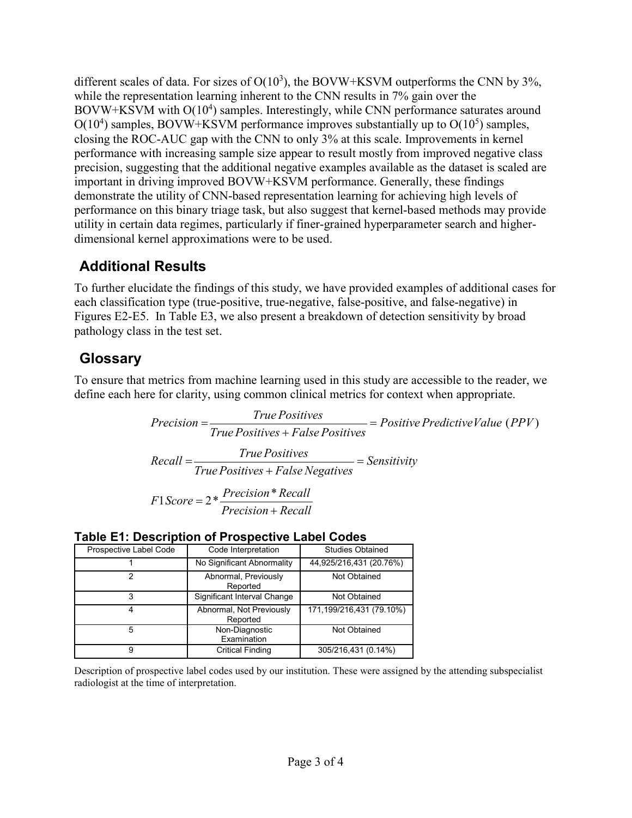different scales of data. For sizes of  $O(10^3)$ , the BOVW+KSVM outperforms the CNN by 3%, while the representation learning inherent to the CNN results in 7% gain over the BOVW+KSVM with O(10<sup>4</sup>) samples. Interestingly, while CNN performance saturates around  $O(10^4)$  samples, BOVW+KSVM performance improves substantially up to  $O(10^5)$  samples, closing the ROC-AUC gap with the CNN to only 3% at this scale. Improvements in kernel performance with increasing sample size appear to result mostly from improved negative class precision, suggesting that the additional negative examples available as the dataset is scaled are important in driving improved BOVW+KSVM performance. Generally, these findings demonstrate the utility of CNN-based representation learning for achieving high levels of performance on this binary triage task, but also suggest that kernel-based methods may provide utility in certain data regimes, particularly if finer-grained hyperparameter search and higherdimensional kernel approximations were to be used.

## **Additional Results**

To further elucidate the findings of this study, we have provided examples of additional cases for each classification type (true-positive, true-negative, false-positive, and false-negative) in Figures E2-E5. In Table E3, we also present a breakdown of detection sensitivity by broad pathology class in the test set.

## **Glossary**

To ensure that metrics from machine learning used in this study are accessible to the reader, we define each here for clarity, using common clinical metrics for context when appropriate.

> *Precision* =  $\frac{True \ Positives}{True \ Positives + False \ Positives}$  =  $Positive \ Predictive Value \ (PPV)$  $=\frac{1}{\text{True Positives} + \text{False Positives}} =$  $Recall = \frac{True \ Positive}{True \ Positive + False \ Negative} = Sensitivity$  $F1Score = 2 * \frac{Precision * Recall}{Precision + Recall}$

#### **Table E1: Description of Prospective Label Codes**

| Prospective Label Code | Code Interpretation                  | <b>Studies Obtained</b>  |  |  |
|------------------------|--------------------------------------|--------------------------|--|--|
|                        | No Significant Abnormality           | 44,925/216,431 (20.76%)  |  |  |
| າ                      | Abnormal, Previously<br>Reported     | Not Obtained             |  |  |
| 3                      | Significant Interval Change          | Not Obtained             |  |  |
| 4                      | Abnormal, Not Previously<br>Reported | 171,199/216,431 (79.10%) |  |  |
| 5                      | Non-Diagnostic<br>Examination        | Not Obtained             |  |  |
| 9                      | <b>Critical Finding</b>              | 305/216,431 (0.14%)      |  |  |

Description of prospective label codes used by our institution. These were assigned by the attending subspecialist radiologist at the time of interpretation.